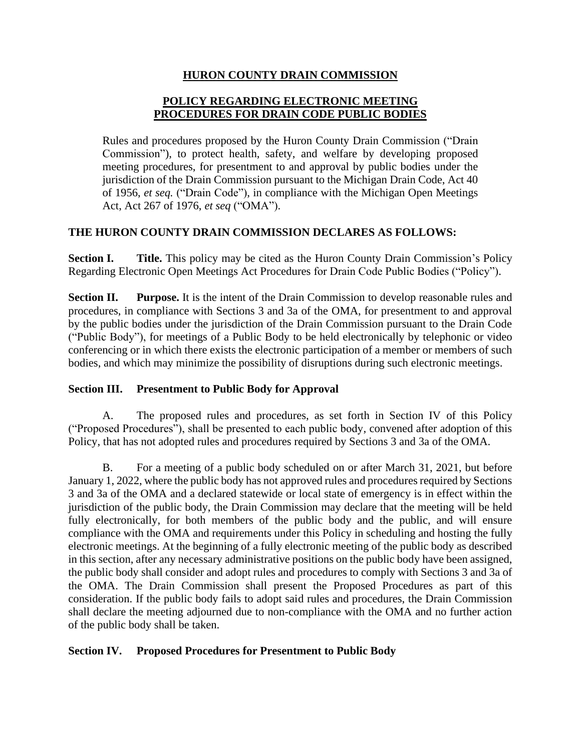## **HURON COUNTY DRAIN COMMISSION**

# **POLICY REGARDING ELECTRONIC MEETING PROCEDURES FOR DRAIN CODE PUBLIC BODIES**

Rules and procedures proposed by the Huron County Drain Commission ("Drain Commission"), to protect health, safety, and welfare by developing proposed meeting procedures, for presentment to and approval by public bodies under the jurisdiction of the Drain Commission pursuant to the Michigan Drain Code, Act 40 of 1956, *et seq.* ("Drain Code"), in compliance with the Michigan Open Meetings Act, Act 267 of 1976, *et seq* ("OMA").

# **THE HURON COUNTY DRAIN COMMISSION DECLARES AS FOLLOWS:**

**Section I.** Title. This policy may be cited as the Huron County Drain Commission's Policy Regarding Electronic Open Meetings Act Procedures for Drain Code Public Bodies ("Policy").

**Section II.** Purpose. It is the intent of the Drain Commission to develop reasonable rules and procedures, in compliance with Sections 3 and 3a of the OMA, for presentment to and approval by the public bodies under the jurisdiction of the Drain Commission pursuant to the Drain Code ("Public Body"), for meetings of a Public Body to be held electronically by telephonic or video conferencing or in which there exists the electronic participation of a member or members of such bodies, and which may minimize the possibility of disruptions during such electronic meetings.

# **Section III. Presentment to Public Body for Approval**

A. The proposed rules and procedures, as set forth in Section IV of this Policy ("Proposed Procedures"), shall be presented to each public body, convened after adoption of this Policy, that has not adopted rules and procedures required by Sections 3 and 3a of the OMA.

B. For a meeting of a public body scheduled on or after March 31, 2021, but before January 1, 2022, where the public body has not approved rules and procedures required by Sections 3 and 3a of the OMA and a declared statewide or local state of emergency is in effect within the jurisdiction of the public body, the Drain Commission may declare that the meeting will be held fully electronically, for both members of the public body and the public, and will ensure compliance with the OMA and requirements under this Policy in scheduling and hosting the fully electronic meetings. At the beginning of a fully electronic meeting of the public body as described in this section, after any necessary administrative positions on the public body have been assigned, the public body shall consider and adopt rules and procedures to comply with Sections 3 and 3a of the OMA. The Drain Commission shall present the Proposed Procedures as part of this consideration. If the public body fails to adopt said rules and procedures, the Drain Commission shall declare the meeting adjourned due to non-compliance with the OMA and no further action of the public body shall be taken.

# **Section IV. Proposed Procedures for Presentment to Public Body**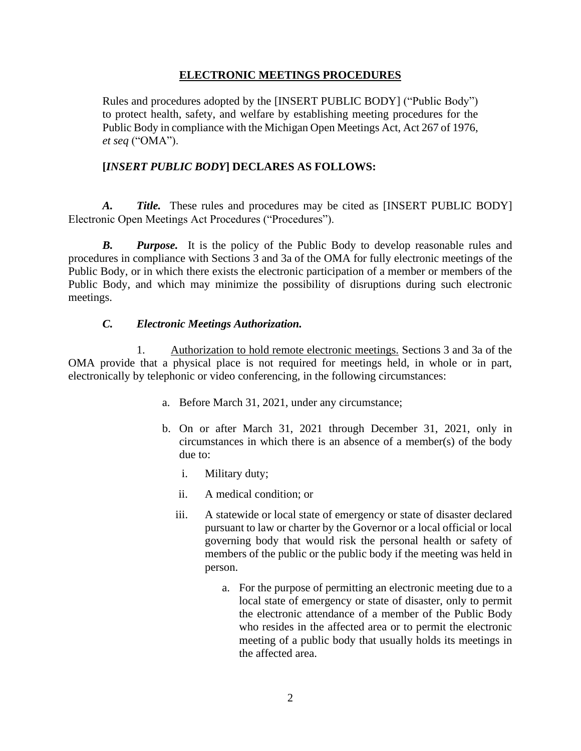#### **ELECTRONIC MEETINGS PROCEDURES**

Rules and procedures adopted by the [INSERT PUBLIC BODY] ("Public Body") to protect health, safety, and welfare by establishing meeting procedures for the Public Body in compliance with the Michigan Open Meetings Act, Act 267 of 1976, *et seq* ("OMA").

## **[***INSERT PUBLIC BODY***] DECLARES AS FOLLOWS:**

*A. Title.* These rules and procedures may be cited as [INSERT PUBLIC BODY] Electronic Open Meetings Act Procedures ("Procedures").

*B. Purpose.* It is the policy of the Public Body to develop reasonable rules and procedures in compliance with Sections 3 and 3a of the OMA for fully electronic meetings of the Public Body, or in which there exists the electronic participation of a member or members of the Public Body, and which may minimize the possibility of disruptions during such electronic meetings.

#### *C. Electronic Meetings Authorization.*

1. Authorization to hold remote electronic meetings. Sections 3 and 3a of the OMA provide that a physical place is not required for meetings held, in whole or in part, electronically by telephonic or video conferencing, in the following circumstances:

- a. Before March 31, 2021, under any circumstance;
- b. On or after March 31, 2021 through December 31, 2021, only in circumstances in which there is an absence of a member(s) of the body due to:
	- i. Military duty;
	- ii. A medical condition; or
	- iii. A statewide or local state of emergency or state of disaster declared pursuant to law or charter by the Governor or a local official or local governing body that would risk the personal health or safety of members of the public or the public body if the meeting was held in person.
		- a. For the purpose of permitting an electronic meeting due to a local state of emergency or state of disaster, only to permit the electronic attendance of a member of the Public Body who resides in the affected area or to permit the electronic meeting of a public body that usually holds its meetings in the affected area.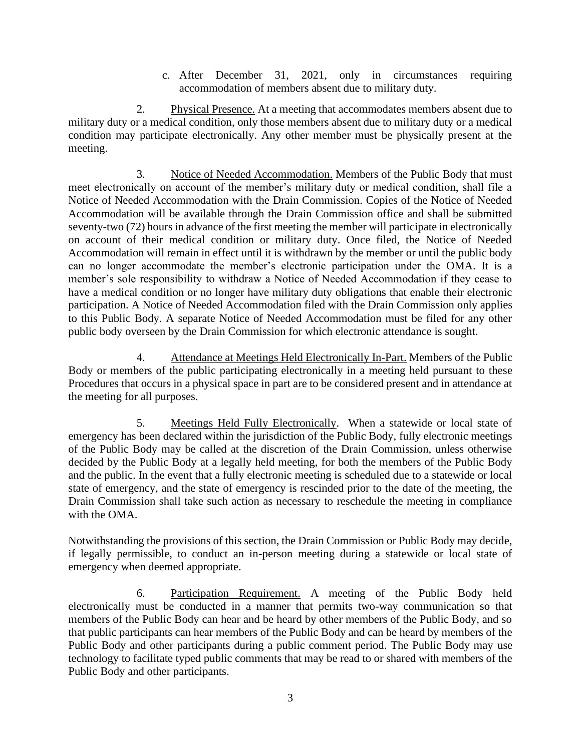c. After December 31, 2021, only in circumstances requiring accommodation of members absent due to military duty.

2. Physical Presence. At a meeting that accommodates members absent due to military duty or a medical condition, only those members absent due to military duty or a medical condition may participate electronically. Any other member must be physically present at the meeting.

3. Notice of Needed Accommodation. Members of the Public Body that must meet electronically on account of the member's military duty or medical condition, shall file a Notice of Needed Accommodation with the Drain Commission. Copies of the Notice of Needed Accommodation will be available through the Drain Commission office and shall be submitted seventy-two (72) hours in advance of the first meeting the member will participate in electronically on account of their medical condition or military duty. Once filed, the Notice of Needed Accommodation will remain in effect until it is withdrawn by the member or until the public body can no longer accommodate the member's electronic participation under the OMA. It is a member's sole responsibility to withdraw a Notice of Needed Accommodation if they cease to have a medical condition or no longer have military duty obligations that enable their electronic participation. A Notice of Needed Accommodation filed with the Drain Commission only applies to this Public Body. A separate Notice of Needed Accommodation must be filed for any other public body overseen by the Drain Commission for which electronic attendance is sought.

4. Attendance at Meetings Held Electronically In-Part. Members of the Public Body or members of the public participating electronically in a meeting held pursuant to these Procedures that occurs in a physical space in part are to be considered present and in attendance at the meeting for all purposes.

5. Meetings Held Fully Electronically. When a statewide or local state of emergency has been declared within the jurisdiction of the Public Body, fully electronic meetings of the Public Body may be called at the discretion of the Drain Commission, unless otherwise decided by the Public Body at a legally held meeting, for both the members of the Public Body and the public. In the event that a fully electronic meeting is scheduled due to a statewide or local state of emergency, and the state of emergency is rescinded prior to the date of the meeting, the Drain Commission shall take such action as necessary to reschedule the meeting in compliance with the OMA.

Notwithstanding the provisions of this section, the Drain Commission or Public Body may decide, if legally permissible, to conduct an in-person meeting during a statewide or local state of emergency when deemed appropriate.

6. Participation Requirement. A meeting of the Public Body held electronically must be conducted in a manner that permits two-way communication so that members of the Public Body can hear and be heard by other members of the Public Body, and so that public participants can hear members of the Public Body and can be heard by members of the Public Body and other participants during a public comment period. The Public Body may use technology to facilitate typed public comments that may be read to or shared with members of the Public Body and other participants.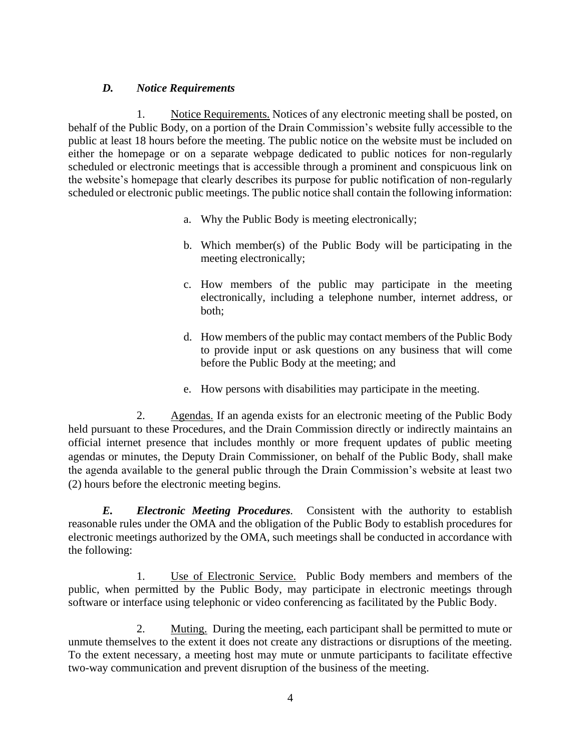## *D. Notice Requirements*

1. Notice Requirements. Notices of any electronic meeting shall be posted, on behalf of the Public Body, on a portion of the Drain Commission's website fully accessible to the public at least 18 hours before the meeting. The public notice on the website must be included on either the homepage or on a separate webpage dedicated to public notices for non-regularly scheduled or electronic meetings that is accessible through a prominent and conspicuous link on the website's homepage that clearly describes its purpose for public notification of non-regularly scheduled or electronic public meetings. The public notice shall contain the following information:

- a. Why the Public Body is meeting electronically;
- b. Which member(s) of the Public Body will be participating in the meeting electronically;
- c. How members of the public may participate in the meeting electronically, including a telephone number, internet address, or both;
- d. How members of the public may contact members of the Public Body to provide input or ask questions on any business that will come before the Public Body at the meeting; and
- e. How persons with disabilities may participate in the meeting.

2. Agendas. If an agenda exists for an electronic meeting of the Public Body held pursuant to these Procedures, and the Drain Commission directly or indirectly maintains an official internet presence that includes monthly or more frequent updates of public meeting agendas or minutes, the Deputy Drain Commissioner, on behalf of the Public Body, shall make the agenda available to the general public through the Drain Commission's website at least two (2) hours before the electronic meeting begins.

*E. Electronic Meeting Procedures.* Consistent with the authority to establish reasonable rules under the OMA and the obligation of the Public Body to establish procedures for electronic meetings authorized by the OMA, such meetings shall be conducted in accordance with the following:

1. Use of Electronic Service. Public Body members and members of the public, when permitted by the Public Body, may participate in electronic meetings through software or interface using telephonic or video conferencing as facilitated by the Public Body.

2. Muting. During the meeting, each participant shall be permitted to mute or unmute themselves to the extent it does not create any distractions or disruptions of the meeting. To the extent necessary, a meeting host may mute or unmute participants to facilitate effective two-way communication and prevent disruption of the business of the meeting.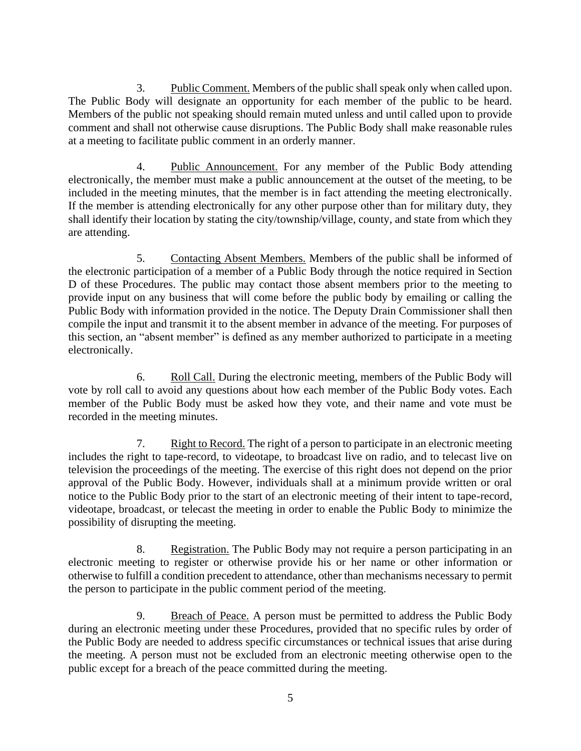3. Public Comment. Members of the public shall speak only when called upon. The Public Body will designate an opportunity for each member of the public to be heard. Members of the public not speaking should remain muted unless and until called upon to provide comment and shall not otherwise cause disruptions. The Public Body shall make reasonable rules at a meeting to facilitate public comment in an orderly manner.

4. Public Announcement. For any member of the Public Body attending electronically, the member must make a public announcement at the outset of the meeting, to be included in the meeting minutes, that the member is in fact attending the meeting electronically. If the member is attending electronically for any other purpose other than for military duty, they shall identify their location by stating the city/township/village, county, and state from which they are attending.

5. Contacting Absent Members. Members of the public shall be informed of the electronic participation of a member of a Public Body through the notice required in Section D of these Procedures. The public may contact those absent members prior to the meeting to provide input on any business that will come before the public body by emailing or calling the Public Body with information provided in the notice. The Deputy Drain Commissioner shall then compile the input and transmit it to the absent member in advance of the meeting. For purposes of this section, an "absent member" is defined as any member authorized to participate in a meeting electronically.

6. Roll Call. During the electronic meeting, members of the Public Body will vote by roll call to avoid any questions about how each member of the Public Body votes. Each member of the Public Body must be asked how they vote, and their name and vote must be recorded in the meeting minutes.

7. Right to Record. The right of a person to participate in an electronic meeting includes the right to tape-record, to videotape, to broadcast live on radio, and to telecast live on television the proceedings of the meeting. The exercise of this right does not depend on the prior approval of the Public Body. However, individuals shall at a minimum provide written or oral notice to the Public Body prior to the start of an electronic meeting of their intent to tape-record, videotape, broadcast, or telecast the meeting in order to enable the Public Body to minimize the possibility of disrupting the meeting.

8. Registration. The Public Body may not require a person participating in an electronic meeting to register or otherwise provide his or her name or other information or otherwise to fulfill a condition precedent to attendance, other than mechanisms necessary to permit the person to participate in the public comment period of the meeting.

9. Breach of Peace. A person must be permitted to address the Public Body during an electronic meeting under these Procedures, provided that no specific rules by order of the Public Body are needed to address specific circumstances or technical issues that arise during the meeting. A person must not be excluded from an electronic meeting otherwise open to the public except for a breach of the peace committed during the meeting.